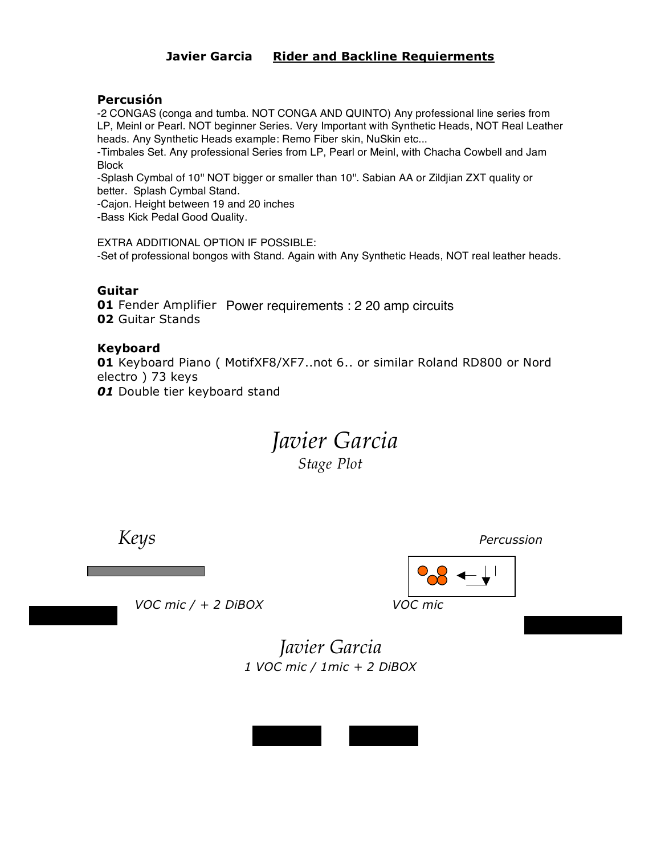## **Javier Garcia Rider and Backline Requierments**

## **Percusión**

-2 CONGAS (conga and tumba. NOT CONGA AND QUINTO) Any professional line series from LP, Meinl or Pearl. NOT beginner Series. Very Important with Synthetic Heads, NOT Real Leather heads. Any Synthetic Heads example: Remo Fiber skin, NuSkin etc...

-Timbales Set. Any professional Series from LP, Pearl or Meinl, with Chacha Cowbell and Jam **Block** 

-Splash Cymbal of 10'' NOT bigger or smaller than 10''. Sabian AA or Zildjian ZXT quality or better. Splash Cymbal Stand.

-Cajon. Height between 19 and 20 inches -Bass Kick Pedal Good Quality.

EXTRA ADDITIONAL OPTION IF POSSIBLE: -Set of professional bongos with Stand. Again with Any Synthetic Heads, NOT real leather heads.

## **Guitar**

**01** Fender Amplifier Power requirements : 2 20 amp circuits**02** Guitar Stands

#### **Keyboard**

**01** Keyboard Piano ( MotifXF8/XF7..not 6.. or similar Roland RD800 or Nord electro ) 73 keys *01* Double tier keyboard stand

> *Javier Garcia Stage Plot*

*Keys Percussion*

 *VOC mic / + 2 DiBOX VOC mic*

*Javier Garcia 1 VOC mic / 1mic + 2 DiBOX*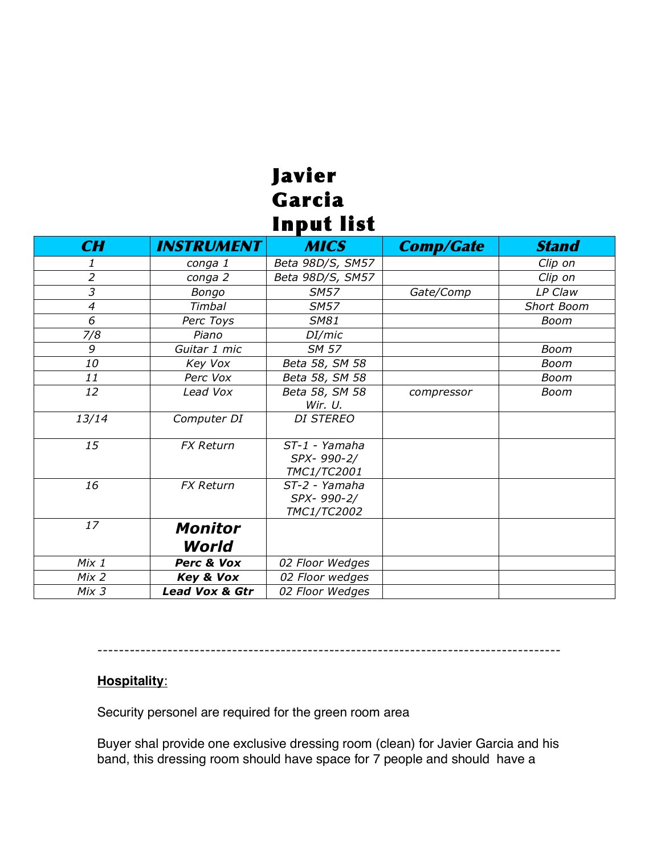# Javier Garcia **Input list**

| CH               | <b>INSTRUMENT</b>         | <b>MICS</b>                                | <b>Comp/Gate</b> | <b>Stand</b>      |
|------------------|---------------------------|--------------------------------------------|------------------|-------------------|
| 1                | conga 1                   | Beta 98D/S, SM57                           |                  | Clip on           |
| $\overline{2}$   | conga 2                   | Beta 98D/S, SM57                           |                  | Clip on           |
| 3                | Bongo                     | <b>SM57</b>                                | Gate/Comp        | LP Claw           |
| 4                | Timbal                    | <b>SM57</b>                                |                  | <b>Short Boom</b> |
| 6                | Perc Toys                 | <b>SM81</b>                                |                  | Boom              |
| 7/8              | Piano                     | DI/mic                                     |                  |                   |
| 9                | Guitar 1 mic              | <b>SM 57</b>                               |                  | Boom              |
| 10               | Key Vox                   | Beta 58, SM 58                             |                  | Boom              |
| 11               | Perc Vox                  | Beta 58, SM 58                             |                  | Boom              |
| 12               | Lead Vox                  | Beta 58, SM 58<br>Wir. U.                  | compressor       | Boom              |
| 13/14            | Computer DI               | <b>DI STEREO</b>                           |                  |                   |
| 15               | <b>FX Return</b>          | ST-1 - Yamaha<br>SPX-990-2/<br>TMC1/TC2001 |                  |                   |
| 16               | <b>FX Return</b>          | ST-2 - Yamaha<br>SPX-990-2/<br>TMC1/TC2002 |                  |                   |
| 17               | <b>Monitor</b><br>World   |                                            |                  |                   |
| $Mix_1$          | Perc & Vox                | 02 Floor Wedges                            |                  |                   |
| Mix <sub>2</sub> | Key & Vox                 | 02 Floor wedges                            |                  |                   |
| Mix <sub>3</sub> | <b>Lead Vox &amp; Gtr</b> | 02 Floor Wedges                            |                  |                   |

--------------------------------------------------------------------------------------

# **Hospitality**:

Security personel are required for the green room area

Buyer shal provide one exclusive dressing room (clean) for Javier Garcia and his band, this dressing room should have space for 7 people and should have a